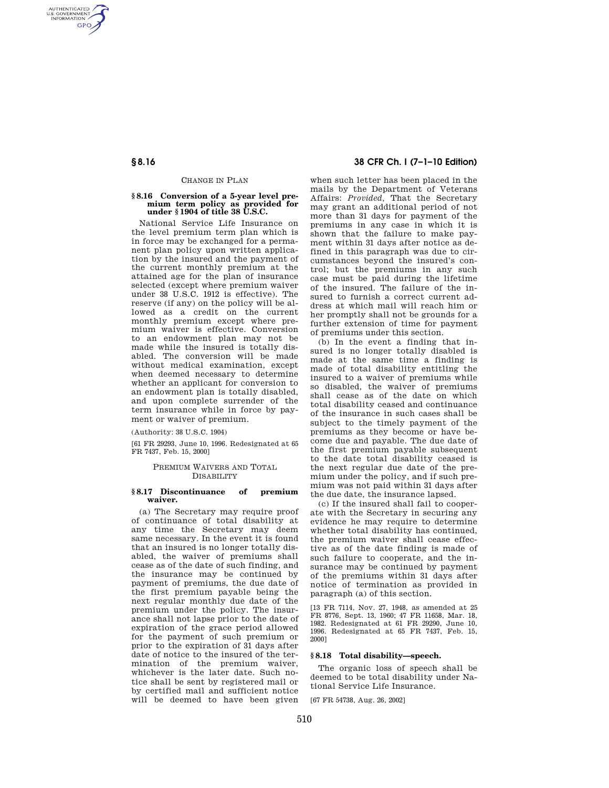AUTHENTICATED<br>U.S. GOVERNMENT<br>INFORMATION **GPO** 

#### CHANGE IN PLAN

# **§ 8.16 Conversion of a 5-year level premium term policy as provided for under § 1904 of title 38 U.S.C.**

National Service Life Insurance on the level premium term plan which is in force may be exchanged for a permanent plan policy upon written application by the insured and the payment of the current monthly premium at the attained age for the plan of insurance selected (except where premium waiver under 38 U.S.C. 1912 is effective). The reserve (if any) on the policy will be allowed as a credit on the current monthly premium except where premium waiver is effective. Conversion to an endowment plan may not be made while the insured is totally disabled. The conversion will be made without medical examination, except when deemed necessary to determine whether an applicant for conversion to an endowment plan is totally disabled, and upon complete surrender of the term insurance while in force by payment or waiver of premium.

(Authority: 38 U.S.C. 1904)

[61 FR 29293, June 10, 1996. Redesignated at 65 FR 7437, Feb. 15, 2000]

# PREMIUM WAIVERS AND TOTAL **DISABILITY**

# **§ 8.17 Discontinuance of premium waiver.**

(a) The Secretary may require proof of continuance of total disability at any time the Secretary may deem same necessary. In the event it is found that an insured is no longer totally disabled, the waiver of premiums shall cease as of the date of such finding, and the insurance may be continued by payment of premiums, the due date of the first premium payable being the next regular monthly due date of the premium under the policy. The insurance shall not lapse prior to the date of expiration of the grace period allowed for the payment of such premium or prior to the expiration of 31 days after date of notice to the insured of the termination of the premium waiver, whichever is the later date. Such notice shall be sent by registered mail or by certified mail and sufficient notice will be deemed to have been given

# **§ 8.16 38 CFR Ch. I (7–1–10 Edition)**

when such letter has been placed in the mails by the Department of Veterans Affairs: *Provided,* That the Secretary may grant an additional period of not more than 31 days for payment of the premiums in any case in which it is shown that the failure to make payment within 31 days after notice as defined in this paragraph was due to circumstances beyond the insured's control; but the premiums in any such case must be paid during the lifetime of the insured. The failure of the insured to furnish a correct current address at which mail will reach him or her promptly shall not be grounds for a further extension of time for payment of premiums under this section.

(b) In the event a finding that insured is no longer totally disabled is made at the same time a finding is made of total disability entitling the insured to a waiver of premiums while so disabled, the waiver of premiums shall cease as of the date on which total disability ceased and continuance of the insurance in such cases shall be subject to the timely payment of the premiums as they become or have become due and payable. The due date of the first premium payable subsequent to the date total disability ceased is the next regular due date of the premium under the policy, and if such premium was not paid within 31 days after the due date, the insurance lapsed.

(c) If the insured shall fail to cooperate with the Secretary in securing any evidence he may require to determine whether total disability has continued, the premium waiver shall cease effective as of the date finding is made of such failure to cooperate, and the insurance may be continued by payment of the premiums within 31 days after notice of termination as provided in paragraph (a) of this section.

[13 FR 7114, Nov. 27, 1948, as amended at 25 FR 8776, Sept. 13, 1960; 47 FR 11658, Mar. 18, 1982. Redesignated at 61 FR 29290, June 10, 1996. Redesignated at 65 FR 7437, Feb. 15, 2000]

# **§ 8.18 Total disability—speech.**

The organic loss of speech shall be deemed to be total disability under National Service Life Insurance.

[67 FR 54738, Aug. 26, 2002]